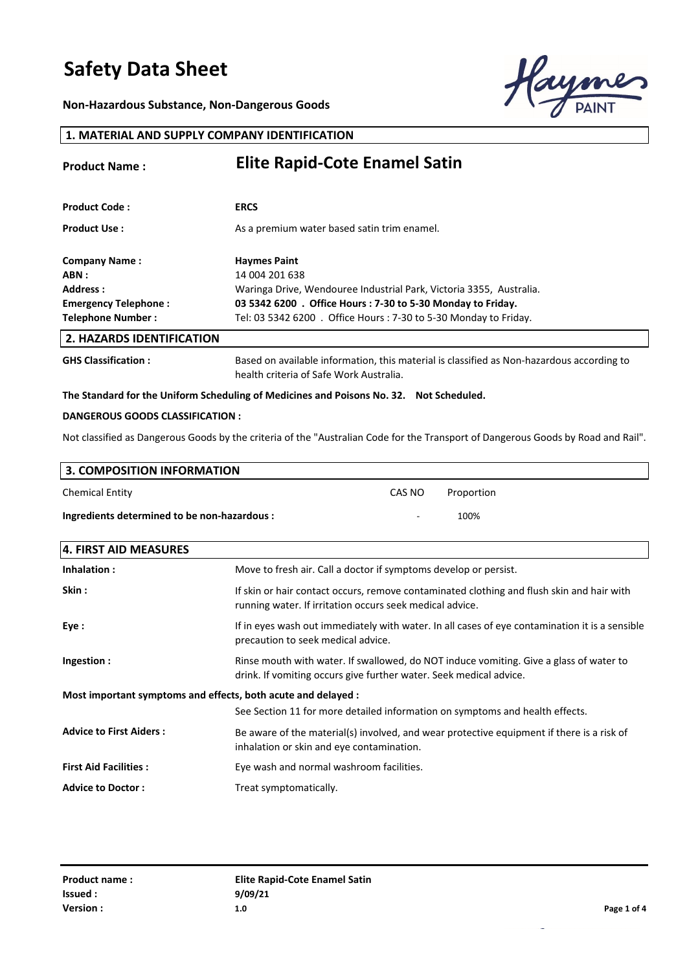**Non-Hazardous Substance, Non-Dangerous Goods**



#### **1. MATERIAL AND SUPPLY COMPANY IDENTIFICATION**

| <b>Product Name:</b>             | <b>Elite Rapid-Cote Enamel Satin</b>                                                                                                 |  |
|----------------------------------|--------------------------------------------------------------------------------------------------------------------------------------|--|
|                                  |                                                                                                                                      |  |
| <b>Product Code:</b>             | <b>ERCS</b>                                                                                                                          |  |
| <b>Product Use:</b>              | As a premium water based satin trim enamel.                                                                                          |  |
| <b>Company Name:</b>             | <b>Haymes Paint</b>                                                                                                                  |  |
| ABN :                            | 14 004 201 638                                                                                                                       |  |
| Address:                         | Waringa Drive, Wendouree Industrial Park, Victoria 3355, Australia.                                                                  |  |
| Emergency Telephone:             | 03 5342 6200 . Office Hours: 7-30 to 5-30 Monday to Friday.                                                                          |  |
| <b>Telephone Number:</b>         | Tel: 03 5342 6200 . Office Hours: 7-30 to 5-30 Monday to Friday.                                                                     |  |
| <b>2. HAZARDS IDENTIFICATION</b> |                                                                                                                                      |  |
| <b>GHS Classification:</b>       | Based on available information, this material is classified as Non-hazardous according to<br>health criteria of Safe Work Australia. |  |

#### **The Standard for the Uniform Scheduling of Medicines and Poisons No. 32. Not Scheduled.**

#### **DANGEROUS GOODS CLASSIFICATION :**

Not classified as Dangerous Goods by the criteria of the "Australian Code for the Transport of Dangerous Goods by Road and Rail".

| 3. COMPOSITION INFORMATION                   |        |            |  |
|----------------------------------------------|--------|------------|--|
| <b>Chemical Entity</b>                       | CAS NO | Proportion |  |
| Ingredients determined to be non-hazardous : | ۰      | 100%       |  |

| 4. FIRST AID MEASURES                                         |                                                                                                                                                              |  |
|---------------------------------------------------------------|--------------------------------------------------------------------------------------------------------------------------------------------------------------|--|
| Inhalation:                                                   | Move to fresh air. Call a doctor if symptoms develop or persist.                                                                                             |  |
| Skin :                                                        | If skin or hair contact occurs, remove contaminated clothing and flush skin and hair with<br>running water. If irritation occurs seek medical advice.        |  |
| Eye :                                                         | If in eyes wash out immediately with water. In all cases of eye contamination it is a sensible<br>precaution to seek medical advice.                         |  |
| Ingestion:                                                    | Rinse mouth with water. If swallowed, do NOT induce vomiting. Give a glass of water to<br>drink. If vomiting occurs give further water. Seek medical advice. |  |
| Most important symptoms and effects, both acute and delayed : |                                                                                                                                                              |  |
|                                                               | See Section 11 for more detailed information on symptoms and health effects.                                                                                 |  |
| <b>Advice to First Aiders:</b>                                | Be aware of the material(s) involved, and wear protective equipment if there is a risk of<br>inhalation or skin and eye contamination.                       |  |
| <b>First Aid Facilities:</b>                                  | Eye wash and normal washroom facilities.                                                                                                                     |  |
| <b>Advice to Doctor:</b>                                      | Treat symptomatically.                                                                                                                                       |  |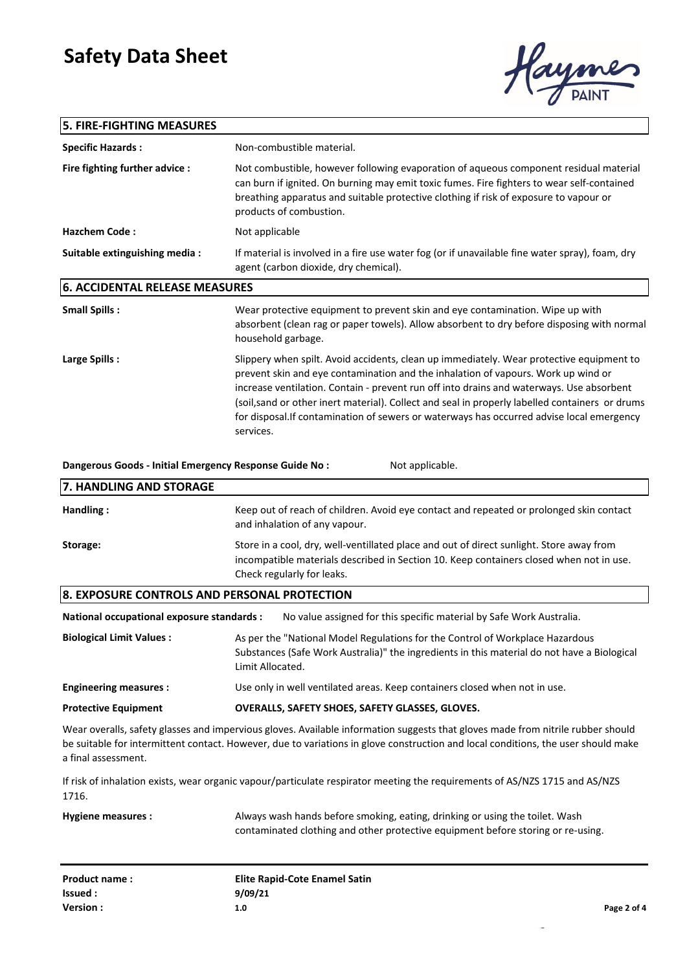### **5. FIRE-FIGHTING MEASURES**



| <b>5. FIRE-FIGHTING MEASURES</b>                                                                                                     |                                                                                                                                                                                                                                                                                                                                                                                                                                                                                        |
|--------------------------------------------------------------------------------------------------------------------------------------|----------------------------------------------------------------------------------------------------------------------------------------------------------------------------------------------------------------------------------------------------------------------------------------------------------------------------------------------------------------------------------------------------------------------------------------------------------------------------------------|
| <b>Specific Hazards:</b>                                                                                                             | Non-combustible material.                                                                                                                                                                                                                                                                                                                                                                                                                                                              |
| Fire fighting further advice :                                                                                                       | Not combustible, however following evaporation of aqueous component residual material<br>can burn if ignited. On burning may emit toxic fumes. Fire fighters to wear self-contained<br>breathing apparatus and suitable protective clothing if risk of exposure to vapour or<br>products of combustion.                                                                                                                                                                                |
| <b>Hazchem Code:</b>                                                                                                                 | Not applicable                                                                                                                                                                                                                                                                                                                                                                                                                                                                         |
| Suitable extinguishing media :                                                                                                       | If material is involved in a fire use water fog (or if unavailable fine water spray), foam, dry<br>agent (carbon dioxide, dry chemical).                                                                                                                                                                                                                                                                                                                                               |
| <b>6. ACCIDENTAL RELEASE MEASURES</b>                                                                                                |                                                                                                                                                                                                                                                                                                                                                                                                                                                                                        |
| <b>Small Spills:</b>                                                                                                                 | Wear protective equipment to prevent skin and eye contamination. Wipe up with<br>absorbent (clean rag or paper towels). Allow absorbent to dry before disposing with normal<br>household garbage.                                                                                                                                                                                                                                                                                      |
| Large Spills:                                                                                                                        | Slippery when spilt. Avoid accidents, clean up immediately. Wear protective equipment to<br>prevent skin and eye contamination and the inhalation of vapours. Work up wind or<br>increase ventilation. Contain - prevent run off into drains and waterways. Use absorbent<br>(soil, sand or other inert material). Collect and seal in properly labelled containers or drums<br>for disposal. If contamination of sewers or waterways has occurred advise local emergency<br>services. |
| Dangerous Goods - Initial Emergency Response Guide No :                                                                              | Not applicable.                                                                                                                                                                                                                                                                                                                                                                                                                                                                        |
| 7. HANDLING AND STORAGE                                                                                                              |                                                                                                                                                                                                                                                                                                                                                                                                                                                                                        |
| Handling:                                                                                                                            | Keep out of reach of children. Avoid eye contact and repeated or prolonged skin contact<br>and inhalation of any vapour.                                                                                                                                                                                                                                                                                                                                                               |
| Storage:                                                                                                                             | Store in a cool, dry, well-ventillated place and out of direct sunlight. Store away from<br>incompatible materials described in Section 10. Keep containers closed when not in use.<br>Check regularly for leaks.                                                                                                                                                                                                                                                                      |
| 8. EXPOSURE CONTROLS AND PERSONAL PROTECTION                                                                                         |                                                                                                                                                                                                                                                                                                                                                                                                                                                                                        |
| National occupational exposure standards :                                                                                           | No value assigned for this specific material by Safe Work Australia.                                                                                                                                                                                                                                                                                                                                                                                                                   |
| <b>Biological Limit Values:</b>                                                                                                      | As per the "National Model Regulations for the Control of Workplace Hazardous<br>Substances (Safe Work Australia)" the ingredients in this material do not have a Biological<br>Limit Allocated.                                                                                                                                                                                                                                                                                       |
| <b>Engineering measures:</b>                                                                                                         | Use only in well ventilated areas. Keep containers closed when not in use.                                                                                                                                                                                                                                                                                                                                                                                                             |
| <b>Protective Equipment</b>                                                                                                          | OVERALLS, SAFETY SHOES, SAFETY GLASSES, GLOVES.                                                                                                                                                                                                                                                                                                                                                                                                                                        |
| a final assessment.                                                                                                                  | Wear overalls, safety glasses and impervious gloves. Available information suggests that gloves made from nitrile rubber should<br>be suitable for intermittent contact. However, due to variations in glove construction and local conditions, the user should make                                                                                                                                                                                                                   |
| If risk of inhalation exists, wear organic vapour/particulate respirator meeting the requirements of AS/NZS 1715 and AS/NZS<br>1716. |                                                                                                                                                                                                                                                                                                                                                                                                                                                                                        |
| <b>Hygiene measures:</b>                                                                                                             | Always wash hands before smoking, eating, drinking or using the toilet. Wash<br>contaminated clothing and other protective equipment before storing or re-using.                                                                                                                                                                                                                                                                                                                       |

| Product name: | Elite Rapid-Cote Enamel Satin |             |
|---------------|-------------------------------|-------------|
| lssued :      | 9/09/21                       |             |
| Version:      | 1.0                           | Page 2 of 4 |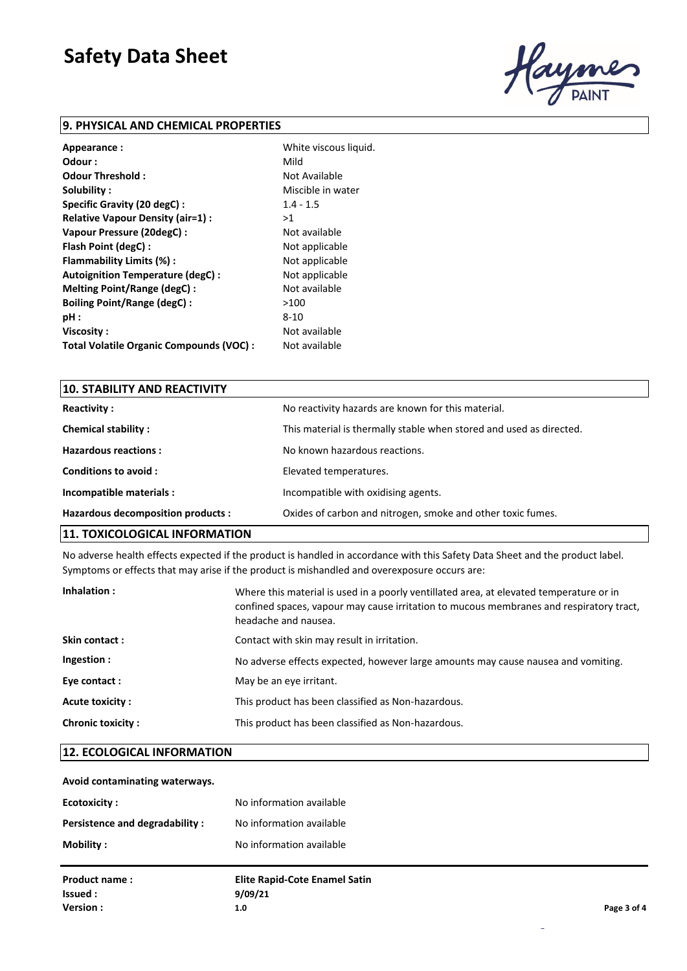

#### **9. PHYSICAL AND CHEMICAL PROPERTIES**

| Appearance:                              | White viscous liquid. |
|------------------------------------------|-----------------------|
| Odour :                                  | Mild                  |
| Odour Threshold:                         | Not Available         |
| Solubility:                              | Miscible in water     |
| Specific Gravity (20 degC):              | $1.4 - 1.5$           |
| Relative Vapour Density (air=1) :        | >1                    |
| Vapour Pressure (20degC) :               | Not available         |
| Flash Point (degC):                      | Not applicable        |
| Flammability Limits (%):                 | Not applicable        |
| Autoignition Temperature (degC) :        | Not applicable        |
| Melting Point/Range (degC):              | Not available         |
| <b>Boiling Point/Range (degC):</b>       | >100                  |
| pH:                                      | 8-10                  |
| Viscosity:                               | Not available         |
| Total Volatile Organic Compounds (VOC) : | Not available         |

| <b>10. STABILITY AND REACTIVITY</b> |                                                                     |
|-------------------------------------|---------------------------------------------------------------------|
| <b>Reactivity:</b>                  | No reactivity hazards are known for this material.                  |
| <b>Chemical stability:</b>          | This material is thermally stable when stored and used as directed. |
| <b>Hazardous reactions:</b>         | No known hazardous reactions.                                       |
| Conditions to avoid:                | Elevated temperatures.                                              |
| Incompatible materials :            | Incompatible with oxidising agents.                                 |
| Hazardous decomposition products :  | Oxides of carbon and nitrogen, smoke and other toxic fumes.         |
|                                     |                                                                     |

#### **11. TOXICOLOGICAL INFORMATION**

No adverse health effects expected if the product is handled in accordance with this Safety Data Sheet and the product label. Symptoms or effects that may arise if the product is mishandled and overexposure occurs are:

| Inhalation:              | Where this material is used in a poorly ventillated area, at elevated temperature or in<br>confined spaces, vapour may cause irritation to mucous membranes and respiratory tract,<br>headache and nausea. |
|--------------------------|------------------------------------------------------------------------------------------------------------------------------------------------------------------------------------------------------------|
| Skin contact:            | Contact with skin may result in irritation.                                                                                                                                                                |
| Ingestion:               | No adverse effects expected, however large amounts may cause nausea and vomiting.                                                                                                                          |
| Eye contact:             | May be an eye irritant.                                                                                                                                                                                    |
| Acute toxicity :         | This product has been classified as Non-hazardous.                                                                                                                                                         |
| <b>Chronic toxicity:</b> | This product has been classified as Non-hazardous.                                                                                                                                                         |

#### **12. ECOLOGICAL INFORMATION**

#### **Avoid contaminating waterways.**

| <b>Ecotoxicity:</b>            | No information available             |             |
|--------------------------------|--------------------------------------|-------------|
| Persistence and degradability: | No information available             |             |
| Mobility:                      | No information available             |             |
| <b>Product name:</b>           | <b>Elite Rapid-Cote Enamel Satin</b> |             |
| Issued :                       | 9/09/21                              |             |
| Version:                       | 1.0                                  | Page 3 of 4 |